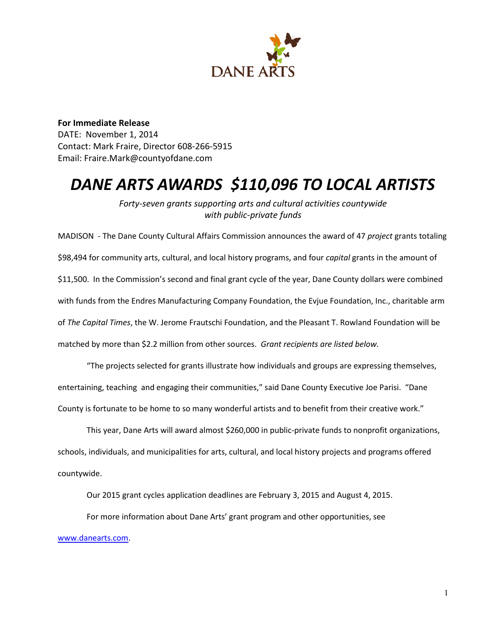

**For Immediate Release** DATE: November 1, 2014 Contact: Mark Fraire, Director 608-266-5915 Email: Fraire.Mark@countyofdane.com

# *DANE ARTS AWARDS \$110,096 TO LOCAL ARTISTS*

*Forty-seven grants supporting arts and cultural activities countywide with public-private funds*

MADISON - The Dane County Cultural Affairs Commission announces the award of 47 *project* grants totaling \$98,494 for community arts, cultural, and local history programs, and four *capital* grants in the amount of \$11,500. In the Commission's second and final grant cycle of the year, Dane County dollars were combined with funds from the Endres Manufacturing Company Foundation, the Evjue Foundation, Inc., charitable arm of *The Capital Times*, the W. Jerome Frautschi Foundation, and the Pleasant T. Rowland Foundation will be matched by more than \$2.2 million from other sources. *Grant recipients are listed below.*

"The projects selected for grants illustrate how individuals and groups are expressing themselves, entertaining, teaching and engaging their communities," said Dane County Executive Joe Parisi. "Dane County is fortunate to be home to so many wonderful artists and to benefit from their creative work."

This year, Dane Arts will award almost \$260,000 in public-private funds to nonprofit organizations, schools, individuals, and municipalities for arts, cultural, and local history projects and programs offered countywide.

Our 2015 grant cycles application deadlines are February 3, 2015 and August 4, 2015.

For more information about Dane Arts' grant program and other opportunities, see

www.danearts.com.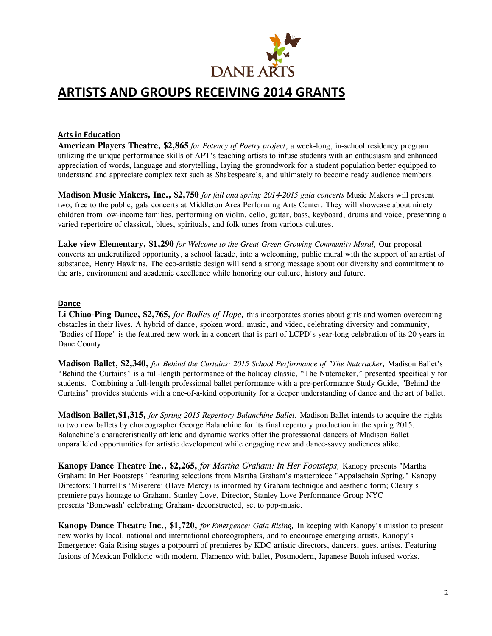

## **ARTISTS AND GROUPS RECEIVING 2014 GRANTS**

#### **Arts in Education**

**American Players Theatre, \$2,865** *for Potency of Poetry project*, a week-long, in-school residency program utilizing the unique performance skills of APT's teaching artists to infuse students with an enthusiasm and enhanced appreciation of words, language and storytelling, laying the groundwork for a student population better equipped to understand and appreciate complex text such as Shakespeare's, and ultimately to become ready audience members.

**Madison Music Makers, Inc., \$2,750** *for fall and spring 2014-2015 gala concerts* Music Makers will present two, free to the public, gala concerts at Middleton Area Performing Arts Center. They will showcase about ninety children from low-income families, performing on violin, cello, guitar, bass, keyboard, drums and voice, presenting a varied repertoire of classical, blues, spirituals, and folk tunes from various cultures.

**Lake view Elementary, \$1,290** *for Welcome to the Great Green Growing Community Mural,* Our proposal converts an underutilized opportunity, a school facade, into a welcoming, public mural with the support of an artist of substance, Henry Hawkins. The eco-artistic design will send a strong message about our diversity and commitment to the arts, environment and academic excellence while honoring our culture, history and future.

#### **Dance**

**Li Chiao-Ping Dance, \$2,765,** *for Bodies of Hope,* this incorporates stories about girls and women overcoming obstacles in their lives. A hybrid of dance, spoken word, music, and video, celebrating diversity and community, "Bodies of Hope" is the featured new work in a concert that is part of LCPD's year-long celebration of its 20 years in Dane County

**Madison Ballet, \$2,340,** *for Behind the Curtains: 2015 School Performance of "The Nutcracker,* Madison Ballet's "Behind the Curtains" is a full-length performance of the holiday classic, "The Nutcracker," presented specifically for students. Combining a full-length professional ballet performance with a pre-performance Study Guide, "Behind the Curtains" provides students with a one-of-a-kind opportunity for a deeper understanding of dance and the art of ballet.

**Madison Ballet,\$1,315,** *for Spring 2015 Repertory Balanchine Ballet,* Madison Ballet intends to acquire the rights to two new ballets by choreographer George Balanchine for its final repertory production in the spring 2015. Balanchine's characteristically athletic and dynamic works offer the professional dancers of Madison Ballet unparalleled opportunities for artistic development while engaging new and dance-savvy audiences alike.

**Kanopy Dance Theatre Inc., \$2,265,** *for Martha Graham: In Her Footsteps,* Kanopy presents "Martha Graham: In Her Footsteps" featuring selections from Martha Graham's masterpiece "Appalachain Spring." Kanopy Directors: Thurrell's 'Miserere' (Have Mercy) is informed by Graham technique and aesthetic form; Cleary's premiere pays homage to Graham. Stanley Love, Director, Stanley Love Performance Group NYC presents 'Bonewash' celebrating Graham- deconstructed, set to pop-music.

**Kanopy Dance Theatre Inc., \$1,720,** *for Emergence: Gaia Rising,* In keeping with Kanopy's mission to present new works by local, national and international choreographers, and to encourage emerging artists, Kanopy's Emergence: Gaia Rising stages a potpourri of premieres by KDC artistic directors, dancers, guest artists. Featuring fusions of Mexican Folkloric with modern, Flamenco with ballet, Postmodern, Japanese Butoh infused works.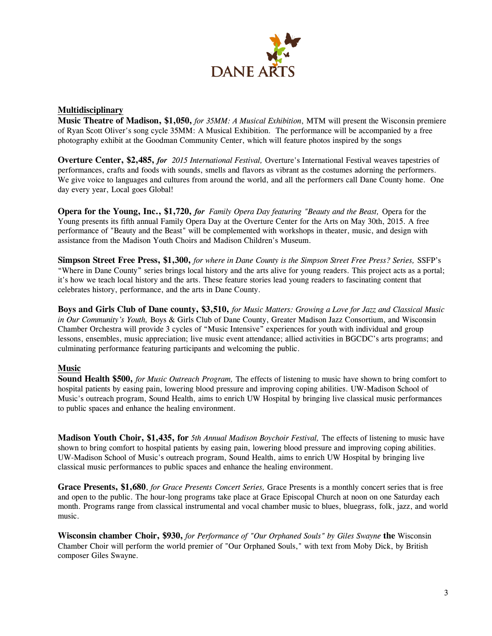

#### **Multidisciplinary**

**Music Theatre of Madison, \$1,050,** *for 35MM: A Musical Exhibition*, MTM will present the Wisconsin premiere of Ryan Scott Oliver's song cycle 35MM: A Musical Exhibition. The performance will be accompanied by a free photography exhibit at the Goodman Community Center, which will feature photos inspired by the songs

**Overture Center, \$2,485,** *for 2015 International Festival,* Overture's International Festival weaves tapestries of performances, crafts and foods with sounds, smells and flavors as vibrant as the costumes adorning the performers. We give voice to languages and cultures from around the world, and all the performers call Dane County home. One day every year, Local goes Global!

**Opera for the Young, Inc., \$1,720,** *for Family Opera Day featuring "Beauty and the Beast,* Opera for the Young presents its fifth annual Family Opera Day at the Overture Center for the Arts on May 30th, 2015. A free performance of "Beauty and the Beast" will be complemented with workshops in theater, music, and design with assistance from the Madison Youth Choirs and Madison Children's Museum.

**Simpson Street Free Press, \$1,300,** *for where in Dane County is the Simpson Street Free Press? Series,* SSFP's "Where in Dane County" series brings local history and the arts alive for young readers. This project acts as a portal; it's how we teach local history and the arts. These feature stories lead young readers to fascinating content that celebrates history, performance, and the arts in Dane County.

**Boys and Girls Club of Dane county, \$3,510,** *for Music Matters: Growing a Love for Jazz and Classical Music in Our Community's Youth,* Boys & Girls Club of Dane County, Greater Madison Jazz Consortium, and Wisconsin Chamber Orchestra will provide 3 cycles of "Music Intensive" experiences for youth with individual and group lessons, ensembles, music appreciation; live music event attendance; allied activities in BGCDC's arts programs; and culminating performance featuring participants and welcoming the public.

#### **Music**

**Sound Health \$500,** *for Music Outreach Program,* The effects of listening to music have shown to bring comfort to hospital patients by easing pain, lowering blood pressure and improving coping abilities. UW-Madison School of Music's outreach program, Sound Health, aims to enrich UW Hospital by bringing live classical music performances to public spaces and enhance the healing environment.

**Madison Youth Choir, \$1,435, for** *5th Annual Madison Boychoir Festival,* The effects of listening to music have shown to bring comfort to hospital patients by easing pain, lowering blood pressure and improving coping abilities. UW-Madison School of Music's outreach program, Sound Health, aims to enrich UW Hospital by bringing live classical music performances to public spaces and enhance the healing environment.

**Grace Presents, \$1,680**, *for Grace Presents Concert Series,* Grace Presents is a monthly concert series that is free and open to the public. The hour-long programs take place at Grace Episcopal Church at noon on one Saturday each month. Programs range from classical instrumental and vocal chamber music to blues, bluegrass, folk, jazz, and world music.

**Wisconsin chamber Choir, \$930,** *for Performance of "Our Orphaned Souls" by Giles Swayne* **the** Wisconsin Chamber Choir will perform the world premier of "Our Orphaned Souls," with text from Moby Dick, by British composer Giles Swayne.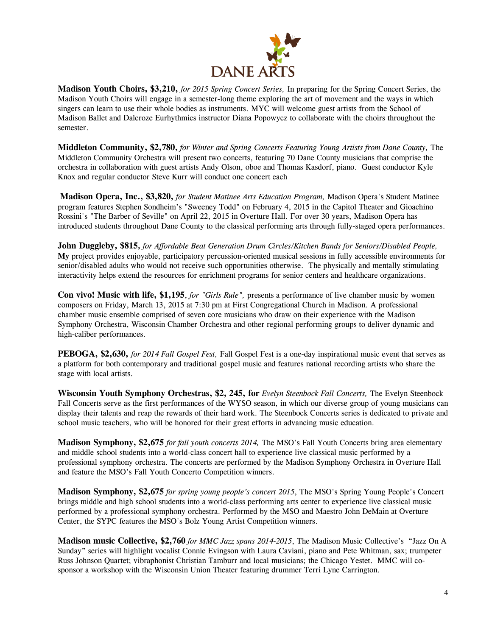

**Madison Youth Choirs, \$3,210,** *for 2015 Spring Concert Series,* In preparing for the Spring Concert Series, the Madison Youth Choirs will engage in a semester-long theme exploring the art of movement and the ways in which singers can learn to use their whole bodies as instruments. MYC will welcome guest artists from the School of Madison Ballet and Dalcroze Eurhythmics instructor Diana Popowycz to collaborate with the choirs throughout the semester.

**Middleton Community, \$2,780,** *for Winter and Spring Concerts Featuring Young Artists from Dane County,* The Middleton Community Orchestra will present two concerts, featuring 70 Dane County musicians that comprise the orchestra in collaboration with guest artists Andy Olson, oboe and Thomas Kasdorf, piano. Guest conductor Kyle Knox and regular conductor Steve Kurr will conduct one concert each

**Madison Opera, Inc., \$3,820,** *for Student Matinee Arts Education Program,* Madison Opera's Student Matinee program features Stephen Sondheim's "Sweeney Todd" on February 4, 2015 in the Capitol Theater and Gioachino Rossini's "The Barber of Seville" on April 22, 2015 in Overture Hall. For over 30 years, Madison Opera has introduced students throughout Dane County to the classical performing arts through fully-staged opera performances.

**John Duggleby, \$815,** *for Affordable Beat Generation Drum Circles/Kitchen Bands for Seniors/Disabled People,* **My** project provides enjoyable, participatory percussion-oriented musical sessions in fully accessible environments for senior/disabled adults who would not receive such opportunities otherwise. The physically and mentally stimulating interactivity helps extend the resources for enrichment programs for senior centers and healthcare organizations.

**Con vivo! Music with life, \$1,195**, *for "Girls Rule",* presents a performance of live chamber music by women composers on Friday, March 13, 2015 at 7:30 pm at First Congregational Church in Madison. A professional chamber music ensemble comprised of seven core musicians who draw on their experience with the Madison Symphony Orchestra, Wisconsin Chamber Orchestra and other regional performing groups to deliver dynamic and high-caliber performances.

**PEBOGA, \$2,630,** *for 2014 Fall Gospel Fest,* Fall Gospel Fest is a one-day inspirational music event that serves as a platform for both contemporary and traditional gospel music and features national recording artists who share the stage with local artists.

**Wisconsin Youth Symphony Orchestras, \$2, 245, for** *Evelyn Steenbock Fall Concerts,* The Evelyn Steenbock Fall Concerts serve as the first performances of the WYSO season, in which our diverse group of young musicians can display their talents and reap the rewards of their hard work. The Steenbock Concerts series is dedicated to private and school music teachers, who will be honored for their great efforts in advancing music education.

**Madison Symphony, \$2,675** *for fall youth concerts 2014,* The MSO's Fall Youth Concerts bring area elementary and middle school students into a world-class concert hall to experience live classical music performed by a professional symphony orchestra. The concerts are performed by the Madison Symphony Orchestra in Overture Hall and feature the MSO's Fall Youth Concerto Competition winners.

**Madison Symphony, \$2,675** *for spring young people's concert 2015*, The MSO's Spring Young People's Concert brings middle and high school students into a world-class performing arts center to experience live classical music performed by a professional symphony orchestra. Performed by the MSO and Maestro John DeMain at Overture Center, the SYPC features the MSO's Bolz Young Artist Competition winners.

**Madison music Collective, \$2,760** *for MMC Jazz spans 2014-2015*, The Madison Music Collective's "Jazz On A Sunday" series will highlight vocalist Connie Evingson with Laura Caviani, piano and Pete Whitman, sax; trumpeter Russ Johnson Quartet; vibraphonist Christian Tamburr and local musicians; the Chicago Yestet. MMC will cosponsor a workshop with the Wisconsin Union Theater featuring drummer Terri Lyne Carrington.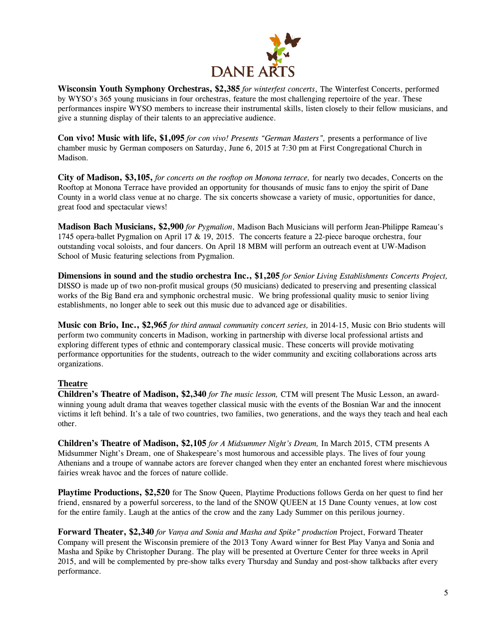

**Wisconsin Youth Symphony Orchestras, \$2,385** *for winterfest concerts*, The Winterfest Concerts, performed by WYSO's 365 young musicians in four orchestras, feature the most challenging repertoire of the year. These performances inspire WYSO members to increase their instrumental skills, listen closely to their fellow musicians, and give a stunning display of their talents to an appreciative audience.

**Con vivo! Music with life, \$1,095** *for con vivo! Presents "German Masters",* presents a performance of live chamber music by German composers on Saturday, June 6, 2015 at 7:30 pm at First Congregational Church in Madison.

**City of Madison, \$3,105,** *for concerts on the rooftop on Monona terrace,* for nearly two decades, Concerts on the Rooftop at Monona Terrace have provided an opportunity for thousands of music fans to enjoy the spirit of Dane County in a world class venue at no charge. The six concerts showcase a variety of music, opportunities for dance, great food and spectacular views!

**Madison Bach Musicians, \$2,900** *for Pygmalion*, Madison Bach Musicians will perform Jean-Philippe Rameau's 1745 opera-ballet Pygmalion on April 17 & 19, 2015. The concerts feature a 22-piece baroque orchestra, four outstanding vocal soloists, and four dancers. On April 18 MBM will perform an outreach event at UW-Madison School of Music featuring selections from Pygmalion.

**Dimensions in sound and the studio orchestra Inc., \$1,205** *for Senior Living Establishments Concerts Project,* DISSO is made up of two non-profit musical groups (50 musicians) dedicated to preserving and presenting classical works of the Big Band era and symphonic orchestral music. We bring professional quality music to senior living establishments, no longer able to seek out this music due to advanced age or disabilities.

**Music con Brio, Inc., \$2,965** *for third annual community concert series,* in 2014-15, Music con Brio students will perform two community concerts in Madison, working in partnership with diverse local professional artists and exploring different types of ethnic and contemporary classical music. These concerts will provide motivating performance opportunities for the students, outreach to the wider community and exciting collaborations across arts organizations.

### **Theatre**

**Children's Theatre of Madison, \$2,340** *for The music lesson,* CTM will present The Music Lesson, an awardwinning young adult drama that weaves together classical music with the events of the Bosnian War and the innocent victims it left behind. It's a tale of two countries, two families, two generations, and the ways they teach and heal each other.

**Children's Theatre of Madison, \$2,105** *for A Midsummer Night's Dream,* In March 2015, CTM presents A Midsummer Night's Dream, one of Shakespeare's most humorous and accessible plays. The lives of four young Athenians and a troupe of wannabe actors are forever changed when they enter an enchanted forest where mischievous fairies wreak havoc and the forces of nature collide.

**Playtime Productions, \$2,520** for The Snow Queen, Playtime Productions follows Gerda on her quest to find her friend, ensnared by a powerful sorceress, to the land of the SNOW QUEEN at 15 Dane County venues, at low cost for the entire family. Laugh at the antics of the crow and the zany Lady Summer on this perilous journey.

**Forward Theater, \$2,340** *for Vanya and Sonia and Masha and Spike" production* Project, Forward Theater Company will present the Wisconsin premiere of the 2013 Tony Award winner for Best Play Vanya and Sonia and Masha and Spike by Christopher Durang. The play will be presented at Overture Center for three weeks in April 2015, and will be complemented by pre-show talks every Thursday and Sunday and post-show talkbacks after every performance.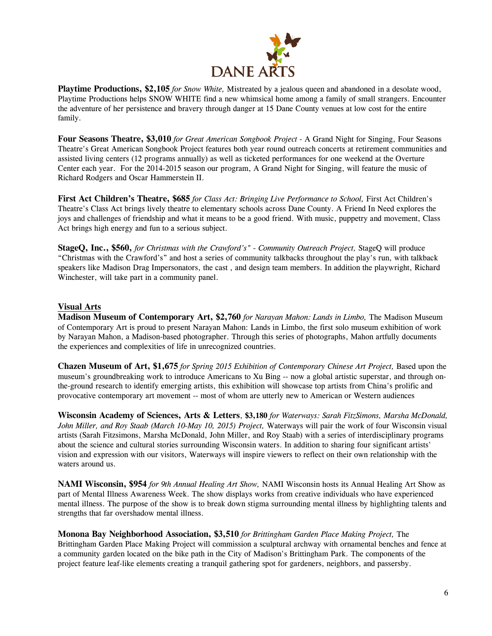

**Playtime Productions, \$2,105** *for Snow White,* Mistreated by a jealous queen and abandoned in a desolate wood, Playtime Productions helps SNOW WHITE find a new whimsical home among a family of small strangers. Encounter the adventure of her persistence and bravery through danger at 15 Dane County venues at low cost for the entire family.

**Four Seasons Theatre, \$3,010** *for Great American Songbook Project* - A Grand Night for Singing, Four Seasons Theatre's Great American Songbook Project features both year round outreach concerts at retirement communities and assisted living centers (12 programs annually) as well as ticketed performances for one weekend at the Overture Center each year. For the 2014-2015 season our program, A Grand Night for Singing, will feature the music of Richard Rodgers and Oscar Hammerstein II.

**First Act Children's Theatre, \$685** *for Class Act: Bringing Live Performance to School,* First Act Children's Theatre's Class Act brings lively theatre to elementary schools across Dane County. A Friend In Need explores the joys and challenges of friendship and what it means to be a good friend. With music, puppetry and movement, Class Act brings high energy and fun to a serious subject.

**StageQ, Inc., \$560,** *for Christmas with the Crawford's" - Community Outreach Project,* StageQ will produce "Christmas with the Crawford's" and host a series of community talkbacks throughout the play's run, with talkback speakers like Madison Drag Impersonators, the cast , and design team members. In addition the playwright, Richard Winchester, will take part in a community panel.

#### **Visual Arts**

**Madison Museum of Contemporary Art, \$2,760** *for Narayan Mahon: Lands in Limbo,* The Madison Museum of Contemporary Art is proud to present Narayan Mahon: Lands in Limbo, the first solo museum exhibition of work by Narayan Mahon, a Madison-based photographer. Through this series of photographs, Mahon artfully documents the experiences and complexities of life in unrecognized countries.

**Chazen Museum of Art, \$1,675** *for Spring 2015 Exhibition of Contemporary Chinese Art Project,* Based upon the museum's groundbreaking work to introduce Americans to Xu Bing -- now a global artistic superstar, and through onthe-ground research to identify emerging artists, this exhibition will showcase top artists from China's prolific and provocative contemporary art movement -- most of whom are utterly new to American or Western audiences

**Wisconsin Academy of Sciences, Arts & Letters**, **\$3,180** *for Waterways: Sarah FitzSimons, Marsha McDonald, John Miller, and Roy Staab (March 10-May 10, 2015) Project,* Waterways will pair the work of four Wisconsin visual artists (Sarah Fitzsimons, Marsha McDonald, John Miller, and Roy Staab) with a series of interdisciplinary programs about the science and cultural stories surrounding Wisconsin waters. In addition to sharing four significant artists' vision and expression with our visitors, Waterways will inspire viewers to reflect on their own relationship with the waters around us.

**NAMI Wisconsin, \$954** *for 9th Annual Healing Art Show,* NAMI Wisconsin hosts its Annual Healing Art Show as part of Mental Illness Awareness Week. The show displays works from creative individuals who have experienced mental illness. The purpose of the show is to break down stigma surrounding mental illness by highlighting talents and strengths that far overshadow mental illness.

**Monona Bay Neighborhood Association, \$3,510** *for Brittingham Garden Place Making Project,* The Brittingham Garden Place Making Project will commission a sculptural archway with ornamental benches and fence at a community garden located on the bike path in the City of Madison's Brittingham Park. The components of the project feature leaf-like elements creating a tranquil gathering spot for gardeners, neighbors, and passersby.